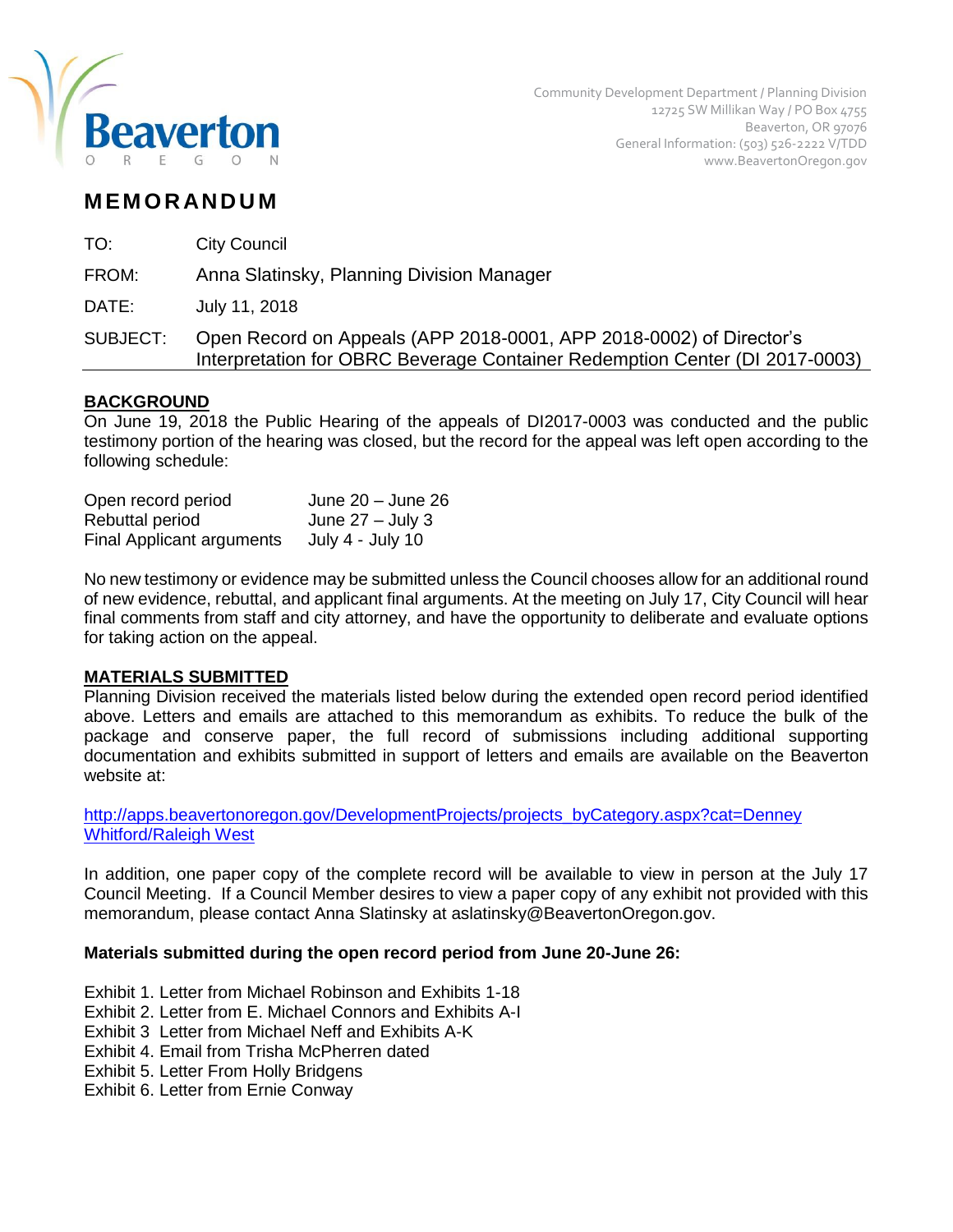

# **M EM O R AN D U M**

TO: City Council

FROM: Anna Slatinsky, Planning Division Manager

DATE: July 11, 2018

SUBJECT: Open Record on Appeals (APP 2018-0001, APP 2018-0002) of Director's Interpretation for OBRC Beverage Container Redemption Center (DI 2017-0003)

# **BACKGROUND**

On June 19, 2018 the Public Hearing of the appeals of DI2017-0003 was conducted and the public testimony portion of the hearing was closed, but the record for the appeal was left open according to the following schedule:

| Open record period               | June $20 -$ June $26$ |
|----------------------------------|-----------------------|
| Rebuttal period                  | June $27 -$ July 3    |
| <b>Final Applicant arguments</b> | July 4 - July 10      |

No new testimony or evidence may be submitted unless the Council chooses allow for an additional round of new evidence, rebuttal, and applicant final arguments. At the meeting on July 17, City Council will hear final comments from staff and city attorney, and have the opportunity to deliberate and evaluate options for taking action on the appeal.

### **MATERIALS SUBMITTED**

Planning Division received the materials listed below during the extended open record period identified above. Letters and emails are attached to this memorandum as exhibits. To reduce the bulk of the package and conserve paper, the full record of submissions including additional supporting documentation and exhibits submitted in support of letters and emails are available on the Beaverton website at:

[http://apps.beavertonoregon.gov/DevelopmentProjects/projects\\_byCategory.aspx?cat=Denney](http://apps.beavertonoregon.gov/DevelopmentProjects/projects_byCategory.aspx?cat=Denney%20Whitford/Raleigh%20West%20)  [Whitford/Raleigh West](http://apps.beavertonoregon.gov/DevelopmentProjects/projects_byCategory.aspx?cat=Denney%20Whitford/Raleigh%20West%20)

In addition, one paper copy of the complete record will be available to view in person at the July 17 Council Meeting. If a Council Member desires to view a paper copy of any exhibit not provided with this memorandum, please contact Anna Slatinsky at aslatinsky@BeavertonOregon.gov.

## **Materials submitted during the open record period from June 20-June 26:**

Exhibit 1. Letter from Michael Robinson and Exhibits 1-18

Exhibit 2. Letter from E. Michael Connors and Exhibits A-I

Exhibit 3 Letter from Michael Neff and Exhibits A-K

- Exhibit 4. Email from Trisha McPherren dated
- Exhibit 5. Letter From Holly Bridgens

Exhibit 6. Letter from Ernie Conway